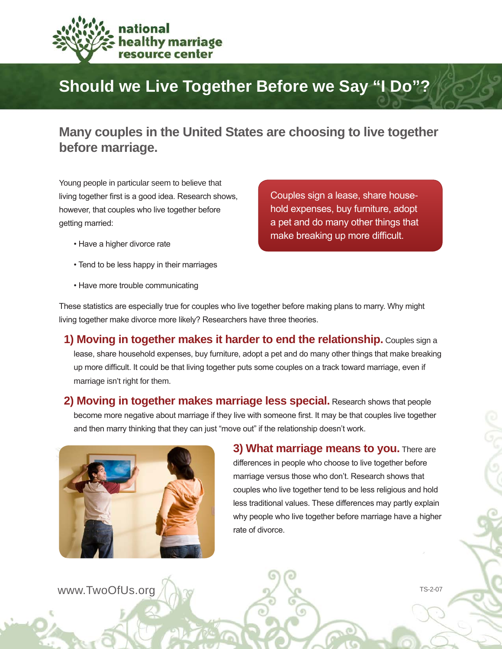

## **Should we Live Together Before we Say "I Do"?**

**Many couples in the United States are choosing to live together before marriage.**

Young people in particular seem to believe that living together first is a good idea. Research shows, however, that couples who live together before getting married:

• Have a higher divorce rate

- Tend to be less happy in their marriages
- Have more trouble communicating

hold expenses, buy furniture, adopt a pet and do many other things that make breaking up more difficult.

Couples sign a lease, share house-

These statistics are especially true for couples who live together before making plans to marry. Why might living together make divorce more likely? Researchers have three theories.

**1) Moving in together makes it harder to end the relationship.** Couples sign a lease, share household expenses, buy furniture, adopt a pet and do many other things that make breaking up more difficult. It could be that living together puts some couples on a track toward marriage, even if marriage isn't right for them.

**2) Moving in together makes marriage less special.** Research shows that people become more negative about marriage if they live with someone first. It may be that couples live together and then marry thinking that they can just "move out" if the relationship doesn't work.



**3) What marriage means to you.** There are differences in people who choose to live together before marriage versus those who don't. Research shows that couples who live together tend to be less religious and hold less traditional values. These differences may partly explain why people who live together before marriage have a higher rate of divorce.

www.TwoOfUs.org  $\bigwedge_{\mathcal{P}}$   $\bigotimes$  TS-2-07